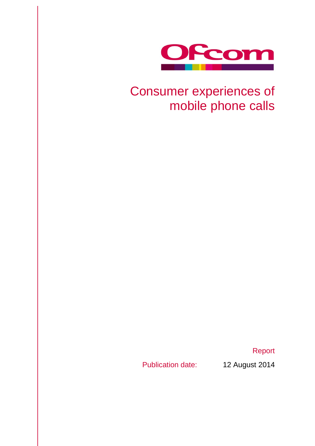

# Consumer experiences of mobile phone calls

Report

Publication date: 12 August 2014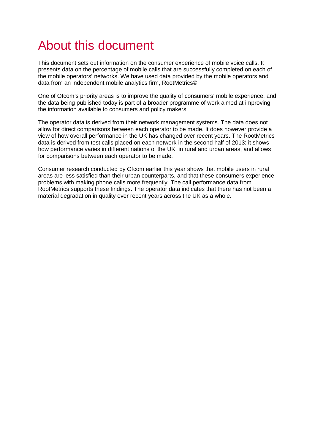# About this document

This document sets out information on the consumer experience of mobile voice calls. It presents data on the percentage of mobile calls that are successfully completed on each of the mobile operators' networks. We have used data provided by the mobile operators and data from an independent mobile analytics firm, RootMetrics©.

One of Ofcom's priority areas is to improve the quality of consumers' mobile experience, and the data being published today is part of a broader programme of work aimed at improving the information available to consumers and policy makers.

The operator data is derived from their network management systems. The data does not allow for direct comparisons between each operator to be made. It does however provide a view of how overall performance in the UK has changed over recent years. The RootMetrics data is derived from test calls placed on each network in the second half of 2013: it shows how performance varies in different nations of the UK, in rural and urban areas, and allows for comparisons between each operator to be made.

Consumer research conducted by Ofcom earlier this year shows that mobile users in rural areas are less satisfied than their urban counterparts, and that these consumers experience problems with making phone calls more frequently. The call performance data from RootMetrics supports these findings. The operator data indicates that there has not been a material degradation in quality over recent years across the UK as a whole.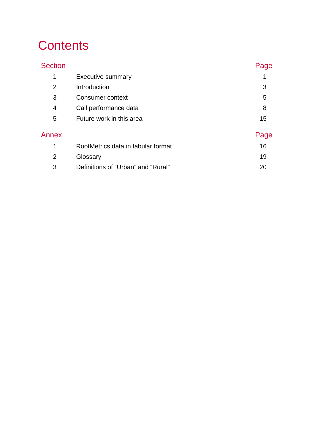# **Contents**

| <b>Section</b> |                                    | Page |
|----------------|------------------------------------|------|
| 1              | <b>Executive summary</b>           |      |
| $\overline{2}$ | Introduction                       | 3    |
| 3              | Consumer context                   | 5    |
| 4              | Call performance data              | 8    |
| 5              | Future work in this area           | 15   |
| Annex          |                                    | Page |
| 1              | RootMetrics data in tabular format | 16   |
| $\overline{2}$ | Glossary                           | 19   |
| 3              | Definitions of "Urban" and "Rural" | 20   |
|                |                                    |      |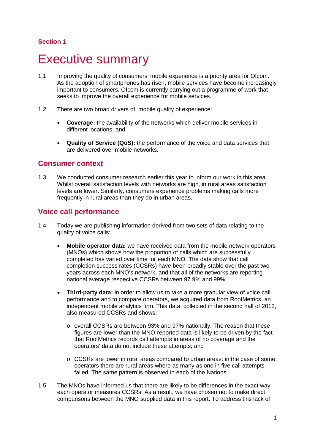# <span id="page-3-0"></span>**Executive summary**

- 1.1 Improving the quality of consumers' mobile experience is a priority area for Ofcom. As the adoption of smartphones has risen, mobile services have become increasingly important to consumers. Ofcom is currently carrying out a programme of work that seeks to improve the overall experience for mobile services.
- 1.2 There are two broad drivers of mobile quality of experience:
	- **Coverage:** the availability of the networks which deliver mobile services in different locations; and
	- **Quality of Service (QoS):** the performance of the voice and data services that are delivered over mobile networks.

### **Consumer context**

1.3 We conducted consumer research earlier this year to inform our work in this area. Whilst overall satisfaction levels with networks are high, in rural areas satisfaction levels are lower. Similarly, consumers experience problems making calls more frequently in rural areas than they do in urban areas.

## **Voice call performance**

- 1.4 Today we are publishing information derived from two sets of data relating to the quality of voice calls:
	- **Mobile operator data:** we have received data from the mobile network operators (MNOs) which shows how the proportion of calls which are successfully completed has varied over time for each MNO. The data show that call completion success rates (CCSRs) have been broadly stable over the past two years across each MNO's network, and that all of the networks are reporting national average respective CCSRs between 97.9% and 99%.
	- **Third-party data:** in order to allow us to take a more granular view of voice call performance and to compare operators, we acquired data from RootMetrics, an independent mobile analytics firm. This data, collected in the second half of 2013, also measured CCSRs and shows:
		- o overall CCSRs are between 93% and 97% nationally. The reason that these figures are lower than the MNO-reported data is likely to be driven by the fact that RootMetrics records call attempts in areas of no coverage and the operators' data do not include these attempts; and
		- o CCSRs are lower in rural areas compared to urban areas: in the case of some operators there are rural areas where as many as one in five call attempts failed. The same pattern is observed in each of the Nations.
- 1.5 The MNOs have informed us that there are likely to be differences in the exact way each operator measures CCSRs. As a result, we have chosen not to make direct comparisons between the MNO supplied data in this report. To address this lack of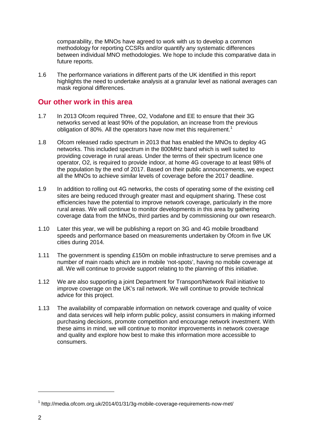comparability, the MNOs have agreed to work with us to develop a common methodology for reporting CCSRs and/or quantify any systematic differences between individual MNO methodologies. We hope to include this comparative data in future reports.

1.6 The performance variations in different parts of the UK identified in this report highlights the need to undertake analysis at a granular level as national averages can mask regional differences.

### **Our other work in this area**

- 1.7 In 2013 Ofcom required Three, O2, Vodafone and EE to ensure that their 3G networks served at least 90% of the population, an increase from the previous obligation of 80%. All the operators have now met this requirement.<sup>[1](#page-4-0)</sup>
- 1.8 Ofcom released radio spectrum in 2013 that has enabled the MNOs to deploy 4G networks. This included spectrum in the 800MHz band which is well suited to providing coverage in rural areas. Under the terms of their spectrum licence one operator, O2, is required to provide indoor, at home 4G coverage to at least 98% of the population by the end of 2017. Based on their public announcements, we expect all the MNOs to achieve similar levels of coverage before the 2017 deadline.
- 1.9 In addition to rolling out 4G networks, the costs of operating some of the existing cell sites are being reduced through greater mast and equipment sharing. These cost efficiencies have the potential to improve network coverage, particularly in the more rural areas. We will continue to monitor developments in this area by gathering coverage data from the MNOs, third parties and by commissioning our own research.
- 1.10 Later this year, we will be publishing a report on 3G and 4G mobile broadband speeds and performance based on measurements undertaken by Ofcom in five UK cities during 2014.
- 1.11 The government is spending £150m on mobile infrastructure to serve premises and a number of main roads which are in mobile 'not-spots', having no mobile coverage at all. We will continue to provide support relating to the planning of this initiative.
- 1.12 We are also supporting a joint Department for Transport/Network Rail initiative to improve coverage on the UK's rail network. We will continue to provide technical advice for this project.
- 1.13 The availability of comparable information on network coverage and quality of voice and data services will help inform public policy, assist consumers in making informed purchasing decisions, promote competition and encourage network investment. With these aims in mind, we will continue to monitor improvements in network coverage and quality and explore how best to make this information more accessible to consumers.

<span id="page-4-0"></span> $1$  <http://media.ofcom.org.uk/2014/01/31/3g-mobile-coverage-requirements-now-met/>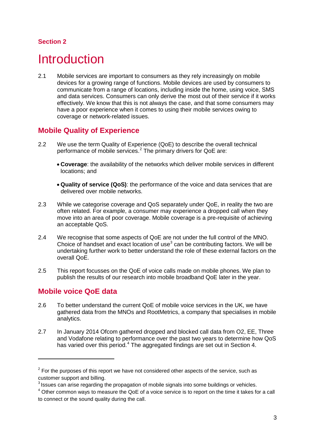# <span id="page-5-0"></span>**Introduction**

2.1 Mobile services are important to consumers as they rely increasingly on mobile devices for a growing range of functions. Mobile devices are used by consumers to communicate from a range of locations, including inside the home, using voice, SMS and data services. Consumers can only derive the most out of their service if it works effectively. We know that this is not always the case, and that some consumers may have a poor experience when it comes to using their mobile services owing to coverage or network-related issues.

## **Mobile Quality of Experience**

- 2.2 We use the term Quality of Experience (QoE) to describe the overall technical performance of mobile services.<sup>[2](#page-5-1)</sup> The primary drivers for QoE are:
	- **Coverage**: the availability of the networks which deliver mobile services in different locations; and
	- **Quality of service (QoS)**: the performance of the voice and data services that are delivered over mobile networks.
- 2.3 While we categorise coverage and QoS separately under QoE, in reality the two are often related. For example, a consumer may experience a dropped call when they move into an area of poor coverage. Mobile coverage is a pre-requisite of achieving an acceptable QoS.
- 2.4 We recognise that some aspects of QoE are not under the full control of the MNO. Choice of handset and exact location of use<sup>[3](#page-5-2)</sup> can be contributing factors. We will be undertaking further work to better understand the role of these external factors on the overall QoE.
- 2.5 This report focusses on the QoE of voice calls made on mobile phones. We plan to publish the results of our research into mobile broadband QoE later in the year.

# **Mobile voice QoE data**

- 2.6 To better understand the current QoE of mobile voice services in the UK, we have gathered data from the MNOs and RootMetrics, a company that specialises in mobile analytics.
- 2.7 In January 2014 Ofcom gathered dropped and blocked call data from O2, EE, Three and Vodafone relating to performance over the past two years to determine how QoS has varied over this period.<sup>[4](#page-5-3)</sup> The aggregated findings are set out in Section 4.

<span id="page-5-1"></span> $2$  For the purposes of this report we have not considered other aspects of the service, such as customer support and billing.

<span id="page-5-2"></span><sup>&</sup>lt;sup>3</sup> Issues can arise regarding the propagation of mobile signals into some buildings or vehicles.

<span id="page-5-3"></span><sup>4</sup> Other common ways to measure the QoE of a voice service is to report on the time it takes for a call to connect or the sound quality during the call.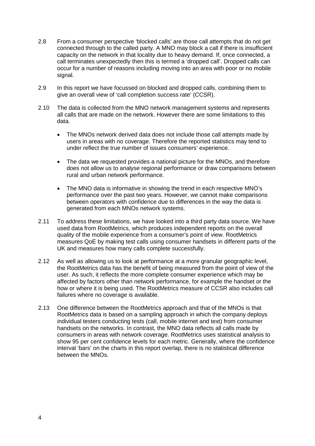- 2.8 From a consumer perspective 'blocked calls' are those call attempts that do not get connected through to the called party. A MNO may block a call if there is insufficient capacity on the network in that locality due to heavy demand. If, once connected, a call terminates unexpectedly then this is termed a 'dropped call'. Dropped calls can occur for a number of reasons including moving into an area with poor or no mobile signal.
- 2.9 In this report we have focussed on blocked and dropped calls, combining them to give an overall view of 'call completion success rate' (CCSR).
- 2.10 The data is collected from the MNO network management systems and represents all calls that are made on the network. However there are some limitations to this data.
	- The MNOs network derived data does not include those call attempts made by users in areas with no coverage. Therefore the reported statistics may tend to under reflect the true number of issues consumers' experience.
	- The data we requested provides a national picture for the MNOs, and therefore does not allow us to analyse regional performance or draw comparisons between rural and urban network performance.
	- The MNO data is informative in showing the trend in each respective MNO's performance over the past two years. However, we cannot make comparisons between operators with confidence due to differences in the way the data is generated from each MNOs network systems.
- 2.11 To address these limitations, we have looked into a third party data source. We have used data from RootMetrics, which produces independent reports on the overall quality of the mobile experience from a consumer's point of view. RootMetrics measures QoE by making test calls using consumer handsets in different parts of the UK and measures how many calls complete successfully.
- 2.12 As well as allowing us to look at performance at a more granular geographic level, the RootMetrics data has the benefit of being measured from the point of view of the user. As such, it reflects the more complete consumer experience which may be affected by factors other than network performance, for example the handset or the how or where it is being used. The RootMetrics measure of CCSR also includes call failures where no coverage is available.
- 2.13 One difference between the RootMetrics approach and that of the MNOs is that RootMetrics data is based on a sampling approach in which the company deploys individual testers conducting tests (call, mobile internet and text) from consumer handsets on the networks. In contrast, the MNO data reflects all calls made by consumers in areas with network coverage. RootMetrics uses statistical analysis to show 95 per cent confidence levels for each metric. Generally, where the confidence interval 'bars' on the charts in this report overlap, there is no statistical difference between the MNOs.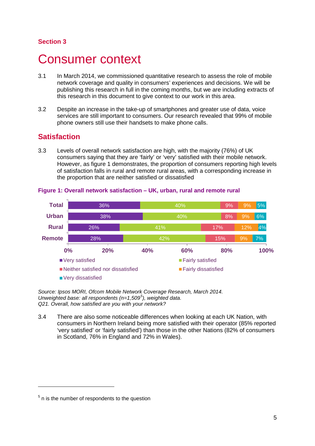# <span id="page-7-0"></span>Consumer context

- 3.1 In March 2014, we commissioned quantitative research to assess the role of mobile network coverage and quality in consumers' experiences and decisions. We will be publishing this research in full in the coming months, but we are including extracts of this research in this document to give context to our work in this area.
- 3.2 Despite an increase in the take-up of smartphones and greater use of data, voice services are still important to consumers. Our research revealed that 99% of mobile phone owners still use their handsets to make phone calls.

## **Satisfaction**

3.3 Levels of overall network satisfaction are high, with the majority (76%) of UK consumers saying that they are 'fairly' or 'very' satisfied with their mobile network. However, as figure 1 demonstrates, the proportion of consumers reporting high levels of satisfaction falls in rural and remote rural areas, with a corresponding increase in the proportion that are neither satisfied or dissatisfied



#### **Figure 1: Overall network satisfaction – UK, urban, rural and remote rural**

*Source: Ipsos MORI, Ofcom Mobile Network Coverage Research, March 2014. Unweighted base: all respondents (n=1,509[5](#page-7-1) ), weighted data. Q21. Overall, how satisfied are you with your network?*

3.4 There are also some noticeable differences when looking at each UK Nation, with consumers in Northern Ireland being more satisfied with their operator (85% reported 'very satisfied' or 'fairly satisfied') than those in the other Nations (82% of consumers in Scotland, 76% in England and 72% in Wales).

<span id="page-7-1"></span> $<sup>5</sup>$  n is the number of respondents to the question</sup>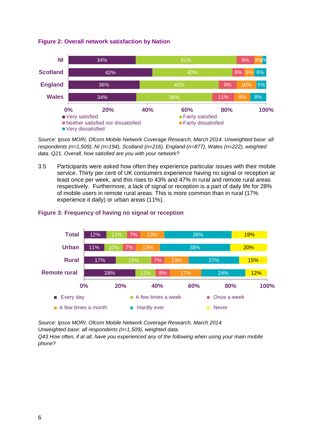**Figure 2: Overall network satisfaction by Nation**



*Source: Ipsos MORI, Ofcom Mobile Network Coverage Research, March 2014. Unweighted base: all respondents (n=1,509), NI (n=194), Scotland (n=216), England (n=877), Wales (n=222), weighted data. Q21. Overall, how satisfied are you with your network?*

3.5 Participants were asked how often they experience particular issues with their mobile service. Thirty per cent of UK consumers experience having no signal or reception at least once per week, and this rises to 43% and 47% in rural and remote rural areas respectively. Furthermore, a lack of signal or reception is a part of daily life for 28% of mobile users in remote rural areas. This is more common than in rural (17% experience it daily) or urban areas (11%).



#### **Figure 3: Frequency of having no signal or reception**

*Source: Ipsos MORI, Ofcom Mobile Network Coverage Research, March 2014. Unweighted base: all respondents (n=1,509), weighted data.*

*Q43 How often, if at all, have you experienced any of the following when using your main mobile phone?*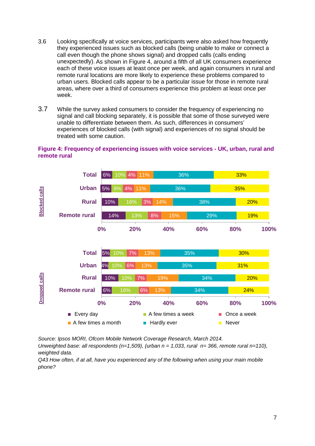- 3.6 Looking specifically at voice services, participants were also asked how frequently they experienced issues such as blocked calls (being unable to make or connect a call even though the phone shows signal) and dropped calls (calls ending unexpectedly). As shown in Figure 4, around a fifth of all UK consumers experience each of these voice issues at least once per week, and again consumers in rural and remote rural locations are more likely to experience these problems compared to urban users. Blocked calls appear to be a particular issue for those in remote rural areas, where over a third of consumers experience this problem at least once per week.
- 3.7 While the survey asked consumers to consider the frequency of experiencing no signal and call blocking separately, it is possible that some of those surveyed were unable to differentiate between them. As such, differences in consumers' experiences of blocked calls (with signal) and experiences of no signal should be treated with some caution.



#### **Figure 4: Frequency of experiencing issues with voice services - UK, urban, rural and remote rural**

*Source: Ipsos MORI, Ofcom Mobile Network Coverage Research, March 2014.* 

*Unweighted base: all respondents (n=1,509), (urban n = 1,033, rural n= 366, remote rural n=110), weighted data.*

*Q43 How often, if at all, have you experienced any of the following when using your main mobile*  phone?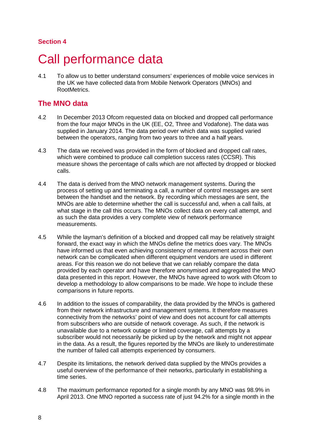# <span id="page-10-0"></span>Call performance data

4.1 To allow us to better understand consumers' experiences of mobile voice services in the UK we have collected data from Mobile Network Operators (MNOs) and RootMetrics.

## **The MNO data**

- 4.2 In December 2013 Ofcom requested data on blocked and dropped call performance from the four major MNOs in the UK (EE, O2, Three and Vodafone). The data was supplied in January 2014. The data period over which data was supplied varied between the operators, ranging from two years to three and a half years.
- 4.3 The data we received was provided in the form of blocked and dropped call rates, which were combined to produce call completion success rates (CCSR). This measure shows the percentage of calls which are not affected by dropped or blocked calls.
- 4.4 The data is derived from the MNO network management systems. During the process of setting up and terminating a call, a number of control messages are sent between the handset and the network. By recording which messages are sent, the MNOs are able to determine whether the call is successful and, when a call fails, at what stage in the call this occurs. The MNOs collect data on every call attempt, and as such the data provides a very complete view of network performance measurements.
- 4.5 While the layman's definition of a blocked and dropped call may be relatively straight forward, the exact way in which the MNOs define the metrics does vary. The MNOs have informed us that even achieving consistency of measurement across their own network can be complicated when different equipment vendors are used in different areas. For this reason we do not believe that we can reliably compare the data provided by each operator and have therefore anonymised and aggregated the MNO data presented in this report. However, the MNOs have agreed to work with Ofcom to develop a methodology to allow comparisons to be made. We hope to include these comparisons in future reports.
- 4.6 In addition to the issues of comparability, the data provided by the MNOs is gathered from their network infrastructure and management systems. It therefore measures connectivity from the networks' point of view and does not account for call attempts from subscribers who are outside of network coverage. As such, if the network is unavailable due to a network outage or limited coverage, call attempts by a subscriber would not necessarily be picked up by the network and might not appear in the data. As a result, the figures reported by the MNOs are likely to underestimate the number of failed call attempts experienced by consumers.
- 4.7 Despite its limitations, the network derived data supplied by the MNOs provides a useful overview of the performance of their networks, particularly in establishing a time series.
- 4.8 The maximum performance reported for a single month by any MNO was 98.9% in April 2013. One MNO reported a success rate of just 94.2% for a single month in the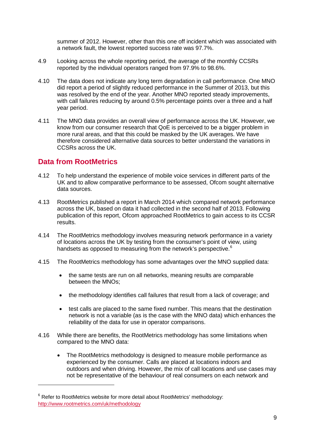summer of 2012. However, other than this one off incident which was associated with a network fault, the lowest reported success rate was 97.7%.

- 4.9 Looking across the whole reporting period, the average of the monthly CCSRs reported by the individual operators ranged from 97.9% to 98.6%.
- 4.10 The data does not indicate any long term degradation in call performance. One MNO did report a period of slightly reduced performance in the Summer of 2013, but this was resolved by the end of the year. Another MNO reported steady improvements, with call failures reducing by around 0.5% percentage points over a three and a half year period.
- 4.11 The MNO data provides an overall view of performance across the UK. However, we know from our consumer research that QoE is perceived to be a bigger problem in more rural areas, and that this could be masked by the UK averages. We have therefore considered alternative data sources to better understand the variations in CCSRs across the UK.

## **Data from RootMetrics**

- 4.12 To help understand the experience of mobile voice services in different parts of the UK and to allow comparative performance to be assessed, Ofcom sought alternative data sources.
- 4.13 RootMetrics published a report in March 2014 which compared network performance across the UK, based on data it had collected in the second half of 2013. Following publication of this report, Ofcom approached RootMetrics to gain access to its CCSR results.
- 4.14 The RootMetrics methodology involves measuring network performance in a variety of locations across the UK by testing from the consumer's point of view, using handsets as opposed to measuring from the network's perspective.<sup>[6](#page-11-0)</sup>
- 4.15 The RootMetrics methodology has some advantages over the MNO supplied data:
	- the same tests are run on all networks, meaning results are comparable between the MNOs;
	- the methodology identifies call failures that result from a lack of coverage; and
	- test calls are placed to the same fixed number. This means that the destination network is not a variable (as is the case with the MNO data) which enhances the reliability of the data for use in operator comparisons.
- 4.16 While there are benefits, the RootMetrics methodology has some limitations when compared to the MNO data:
	- The RootMetrics methodology is designed to measure mobile performance as experienced by the consumer. Calls are placed at locations indoors and outdoors and when driving. However, the mix of call locations and use cases may not be representative of the behaviour of real consumers on each network and

<span id="page-11-0"></span><sup>&</sup>lt;sup>6</sup> Refer to RootMetrics website for more detail about RootMetrics' methodology: <http://www.rootmetrics.com/uk/methodology>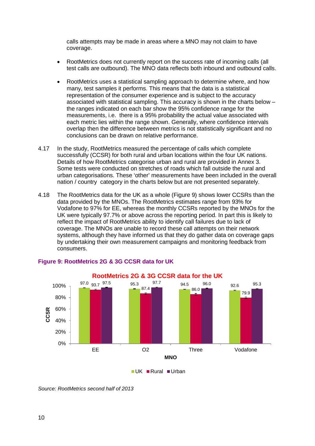calls attempts may be made in areas where a MNO may not claim to have coverage.

- RootMetrics does not currently report on the success rate of incoming calls (all test calls are outbound). The MNO data reflects both inbound and outbound calls.
- RootMetrics uses a statistical sampling approach to determine where, and how many, test samples it performs. This means that the data is a statistical representation of the consumer experience and is subject to the accuracy associated with statistical sampling. This accuracy is shown in the charts below – the ranges indicated on each bar show the 95% confidence range for the measurements, i.e. there is a 95% probability the actual value associated with each metric lies within the range shown. Generally, where confidence intervals overlap then the difference between metrics is not statistically significant and no conclusions can be drawn on relative performance.
- 4.17 In the study, RootMetrics measured the percentage of calls which complete successfully (CCSR) for both rural and urban locations within the four UK nations. Details of how RootMetrics categorise urban and rural are provided in Annex 3. Some tests were conducted on stretches of roads which fall outside the rural and urban categorisations. These 'other' measurements have been included in the overall nation / country category in the charts below but are not presented separately.
- 4.18 The RootMetrics data for the UK as a whole (Figure 9) shows lower CCSRs than the data provided by the MNOs. The RootMetrics estimates range from 93% for Vodafone to 97% for EE, whereas the monthly CCSRs reported by the MNOs for the UK were typically 97.7% or above across the reporting period. In part this is likely to reflect the impact of RootMetrics ability to identify call failures due to lack of coverage. The MNOs are unable to record these call attempts on their network systems, although they have informed us that they do gather data on coverage gaps by undertaking their own measurement campaigns and monitoring feedback from consumers.



#### **Figure 9: RootMetrics 2G & 3G CCSR data for UK**

 $\blacksquare$  UK  $\blacksquare$  Rural  $\blacksquare$  Urban

*Source: RootMetrics second half of 2013*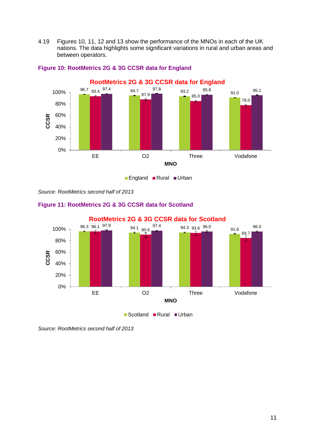4.19 Figures 10, 11, 12 and 13 show the performance of the MNOs in each of the UK nations. The data highlights some significant variations in rural and urban areas and between operators.



#### **Figure 10: RootMetrics 2G & 3G CCSR data for England**

■ England ■ Rural ■ Urban

*Source: RootMetrics second half of 2013*



#### **Figure 11: RootMetrics 2G & 3G CCSR data for Scotland**

*Source: RootMetrics second half of 2013*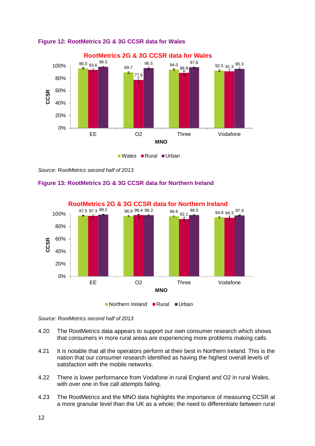

### **Figure 12: RootMetrics 2G & 3G CCSR data for Wales**

*Source: RootMetrics second half of 2013*

#### **Figure 13: RootMetrics 2G & 3G CCSR data for Northern Ireland**



*Source: RootMetrics second half of 2013*

- 4.20 The RootMetrics data appears to support our own consumer research which shows that consumers in more rural areas are experiencing more problems making calls.
- 4.21 It is notable that all the operators perform at their best in Northern Ireland. This is the nation that our consumer research identified as having the highest overall levels of satisfaction with the mobile networks.
- 4.22 There is lower performance from Vodafone in rural England and O2 in rural Wales, with over one in five call attempts failing.
- 4.23 The RootMetrics and the MNO data highlights the importance of measuring CCSR at a more granular level than the UK as a whole; the need to differentiate between rural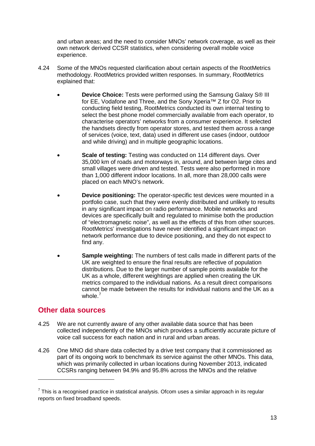and urban areas; and the need to consider MNOs' network coverage, as well as their own network derived CCSR statistics, when considering overall mobile voice experience.

- 4.24 Some of the MNOs requested clarification about certain aspects of the RootMetrics methodology. RootMetrics provided written responses. In summary, RootMetrics explained that:
	- **Device Choice:** Tests were performed using the Samsung Galaxy S® III for EE, Vodafone and Three, and the Sony Xperia™ Z for O2. Prior to conducting field testing, RootMetrics conducted its own internal testing to select the best phone model commercially available from each operator, to characterise operators' networks from a consumer experience. It selected the handsets directly from operator stores, and tested them across a range of services (voice, text, data) used in different use cases (indoor, outdoor and while driving) and in multiple geographic locations.
	- **Scale of testing:** Testing was conducted on 114 different days. Over 35,000 km of roads and motorways in, around, and between large cites and small villages were driven and tested. Tests were also performed in more than 1,000 different indoor locations. In all, more than 28,000 calls were placed on each MNO's network.
	- **Device positioning:** The operator-specific test devices were mounted in a portfolio case, such that they were evenly distributed and unlikely to results in any significant impact on radio performance. Mobile networks and devices are specifically built and regulated to minimise both the production of "electromagnetic noise", as well as the effects of this from other sources. RootMetrics' investigations have never identified a significant impact on network performance due to device positioning, and they do not expect to find any.
	- **Sample weighting:** The numbers of test calls made in different parts of the UK are weighted to ensure the final results are reflective of population distributions. Due to the larger number of sample points available for the UK as a whole, different weightings are applied when creating the UK metrics compared to the individual nations. As a result direct comparisons cannot be made between the results for individual nations and the UK as a whole.<sup>[7](#page-15-0)</sup>

## **Other data sources**

- 4.25 We are not currently aware of any other available data source that has been collected independently of the MNOs which provides a sufficiently accurate picture of voice call success for each nation and in rural and urban areas.
- 4.26 One MNO did share data collected by a drive test company that it commissioned as part of its ongoing work to benchmark its service against the other MNOs. This data, which was primarily collected in urban locations during November 2013, indicated CCSRs ranging between 94.9% and 95.8% across the MNOs and the relative

<span id="page-15-0"></span> $<sup>7</sup>$  This is a recognised practice in statistical analysis. Ofcom uses a similar approach in its regular</sup> reports on fixed broadband speeds.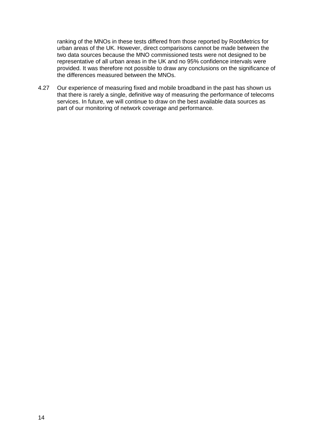ranking of the MNOs in these tests differed from those reported by RootMetrics for urban areas of the UK. However, direct comparisons cannot be made between the two data sources because the MNO commissioned tests were not designed to be representative of all urban areas in the UK and no 95% confidence intervals were provided. It was therefore not possible to draw any conclusions on the significance of the differences measured between the MNOs.

4.27 Our experience of measuring fixed and mobile broadband in the past has shown us that there is rarely a single, definitive way of measuring the performance of telecoms services. In future, we will continue to draw on the best available data sources as part of our monitoring of network coverage and performance.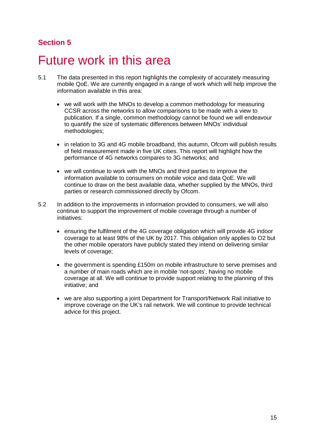# <span id="page-17-0"></span>5 Future work in this area

- 5.1 The data presented in this report highlights the complexity of accurately measuring mobile QoE. We are currently engaged in a range of work which will help improve the information available in this area:
	- we will work with the MNOs to develop a common methodology for measuring CCSR across the networks to allow comparisons to be made with a view to publication. If a single, common methodology cannot be found we will endeavour to quantify the size of systematic differences between MNOs' individual methodologies;
	- in relation to 3G and 4G mobile broadband, this autumn, Ofcom will publish results of field measurement made in five UK cities. This report will highlight how the performance of 4G networks compares to 3G networks; and
	- we will continue to work with the MNOs and third parties to improve the information available to consumers on mobile voice and data QoE. We will continue to draw on the best available data, whether supplied by the MNOs, third parties or research commissioned directly by Ofcom.
- 5.2 In addition to the improvements in information provided to consumers, we will also continue to support the improvement of mobile coverage through a number of initiatives:
	- ensuring the fulfilment of the 4G coverage obligation which will provide 4G indoor coverage to at least 98% of the UK by 2017. This obligation only applies to O2 but the other mobile operators have publicly stated they intend on delivering similar levels of coverage;
	- the government is spending £150m on mobile infrastructure to serve premises and a number of main roads which are in mobile 'not-spots', having no mobile coverage at all. We will continue to provide support relating to the planning of this initiative; and
	- we are also supporting a joint Department for Transport/Network Rail initiative to improve coverage on the UK's rail network. We will continue to provide technical advice for this project.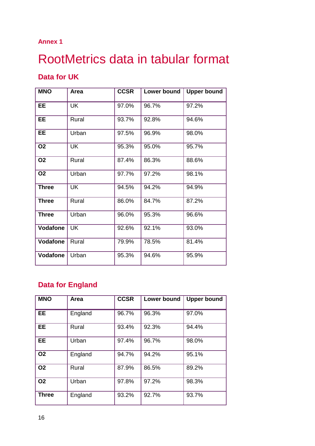## **Annex 1**

# <span id="page-18-0"></span>RootMetrics data in tabular format

# **Data for UK**

| <b>MNO</b>      | Area      | <b>CCSR</b> | Lower bound | <b>Upper bound</b> |
|-----------------|-----------|-------------|-------------|--------------------|
| <b>EE</b>       | <b>UK</b> | 97.0%       | 96.7%       | 97.2%              |
| <b>EE</b>       | Rural     | 93.7%       | 92.8%       | 94.6%              |
| EE.             | Urban     | 97.5%       | 96.9%       | 98.0%              |
| <b>O2</b>       | <b>UK</b> | 95.3%       | 95.0%       | 95.7%              |
| <b>O2</b>       | Rural     | 87.4%       | 86.3%       | 88.6%              |
| <b>O2</b>       | Urban     | 97.7%       | 97.2%       | 98.1%              |
| <b>Three</b>    | <b>UK</b> | 94.5%       | 94.2%       | 94.9%              |
| <b>Three</b>    | Rural     | 86.0%       | 84.7%       | 87.2%              |
| <b>Three</b>    | Urban     | 96.0%       | 95.3%       | 96.6%              |
| <b>Vodafone</b> | UK        | 92.6%       | 92.1%       | 93.0%              |
| Vodafone        | Rural     | 79.9%       | 78.5%       | 81.4%              |
| <b>Vodafone</b> | Urban     | 95.3%       | 94.6%       | 95.9%              |

# **Data for England**

| <b>MNO</b>   | Area    | <b>CCSR</b> | Lower bound | <b>Upper bound</b> |
|--------------|---------|-------------|-------------|--------------------|
| <b>EE</b>    | England | 96.7%       | 96.3%       | 97.0%              |
| <b>EE</b>    | Rural   | 93.4%       | 92.3%       | 94.4%              |
| EE.          | Urban   | 97.4%       | 96.7%       | 98.0%              |
| <b>O2</b>    | England | 94.7%       | 94.2%       | 95.1%              |
| <b>O2</b>    | Rural   | 87.9%       | 86.5%       | 89.2%              |
| <b>O2</b>    | Urban   | 97.8%       | 97.2%       | 98.3%              |
| <b>Three</b> | England | 93.2%       | 92.7%       | 93.7%              |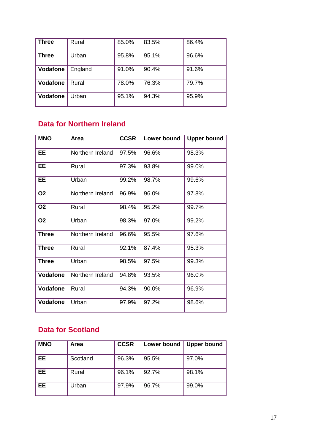| <b>Three</b> | Rural   | 85.0% | 83.5% | 86.4% |
|--------------|---------|-------|-------|-------|
| <b>Three</b> | Urban   | 95.8% | 95.1% | 96.6% |
| Vodafone     | England | 91.0% | 90.4% | 91.6% |
| Vodafone     | Rural   | 78.0% | 76.3% | 79.7% |
| Vodafone     | Urban   | 95.1% | 94.3% | 95.9% |

# **Data for Northern Ireland**

| <b>MNO</b>      | Area             | <b>CCSR</b> | Lower bound | <b>Upper bound</b> |
|-----------------|------------------|-------------|-------------|--------------------|
| <b>EE</b>       | Northern Ireland | 97.5%       | 96.6%       | 98.3%              |
| <b>EE</b>       | Rural            | 97.3%       | 93.8%       | 99.0%              |
| <b>EE</b>       | Urban            | 99.2%       | 98.7%       | 99.6%              |
| <b>O2</b>       | Northern Ireland | 96.9%       | 96.0%       | 97.8%              |
| <b>O2</b>       | Rural            | 98.4%       | 95.2%       | 99.7%              |
| <b>O2</b>       | Urban            | 98.3%       | 97.0%       | 99.2%              |
| <b>Three</b>    | Northern Ireland | 96.6%       | 95.5%       | 97.6%              |
| <b>Three</b>    | Rural            | 92.1%       | 87.4%       | 95.3%              |
| <b>Three</b>    | Urban            | 98.5%       | 97.5%       | 99.3%              |
| <b>Vodafone</b> | Northern Ireland | 94.8%       | 93.5%       | 96.0%              |
| Vodafone        | Rural            | 94.3%       | 90.0%       | 96.9%              |
| Vodafone        | Urban            | 97.9%       | 97.2%       | 98.6%              |

# **Data for Scotland**

| <b>MNO</b> | Area     | <b>CCSR</b> | Lower bound | <b>Upper bound</b> |
|------------|----------|-------------|-------------|--------------------|
| <b>EE</b>  | Scotland | 96.3%       | 95.5%       | 97.0%              |
| <b>EE</b>  | Rural    | 96.1%       | 92.7%       | 98.1%              |
| <b>EE</b>  | Urban    | 97.9%       | 96.7%       | 99.0%              |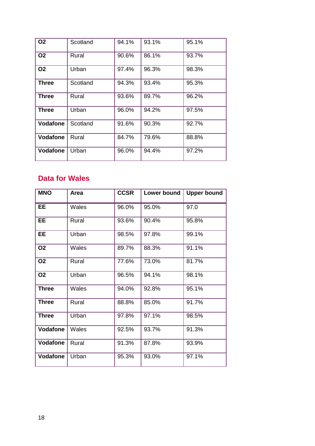| <b>O2</b>       | Scotland | 94.1% | 93.1% | 95.1% |
|-----------------|----------|-------|-------|-------|
| <b>O2</b>       | Rural    | 90.6% | 86.1% | 93.7% |
| <b>O2</b>       | Urban    | 97.4% | 96.3% | 98.3% |
| <b>Three</b>    | Scotland | 94.3% | 93.4% | 95.3% |
| <b>Three</b>    | Rural    | 93.6% | 89.7% | 96.2% |
| <b>Three</b>    | Urban    | 96.0% | 94.2% | 97.5% |
| <b>Vodafone</b> | Scotland | 91.6% | 90.3% | 92.7% |
| <b>Vodafone</b> | Rural    | 84.7% | 79.6% | 88.8% |
| <b>Vodafone</b> | Urban    | 96.0% | 94.4% | 97.2% |

# **Data for Wales**

| <b>MNO</b>      | Area  | <b>CCSR</b> | <b>Lower bound</b> | <b>Upper bound</b> |
|-----------------|-------|-------------|--------------------|--------------------|
| EE.             | Wales | 96.0%       | 95.0%              | 97.0               |
| <b>EE</b>       | Rural | 93.6%       | 90.4%              | 95.8%              |
| EE.             | Urban | 98.5%       | 97.8%              | 99.1%              |
| <b>O2</b>       | Wales | 89.7%       | 88.3%              | 91.1%              |
| <b>O2</b>       | Rural | 77.6%       | 73.0%              | 81.7%              |
| <b>O2</b>       | Urban | 96.5%       | 94.1%              | 98.1%              |
| <b>Three</b>    | Wales | 94.0%       | 92.8%              | 95.1%              |
| <b>Three</b>    | Rural | 88.8%       | 85.0%              | 91.7%              |
| <b>Three</b>    | Urban | 97.8%       | 97.1%              | 98.5%              |
| <b>Vodafone</b> | Wales | 92.5%       | 93.7%              | 91.3%              |
| <b>Vodafone</b> | Rural | 91.3%       | 87.8%              | 93.9%              |
| Vodafone        | Urban | 95.3%       | 93.0%              | 97.1%              |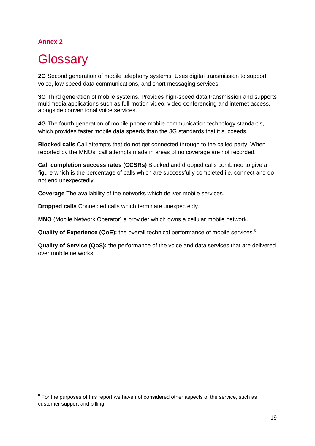## **Annex 2**

-

# <span id="page-21-0"></span>**Glossary**

**2G** Second generation of mobile telephony systems. Uses digital transmission to support voice, low-speed data communications, and short messaging services.

**3G** Third generation of mobile systems. Provides high-speed data transmission and supports multimedia applications such as full-motion video, video-conferencing and internet access, alongside conventional voice services.

**4G** The fourth generation of mobile phone mobile communication technology standards, which provides faster mobile data speeds than the 3G standards that it succeeds.

**Blocked calls** Call attempts that do not get connected through to the called party. When reported by the MNOs, call attempts made in areas of no coverage are not recorded.

**Call completion success rates (CCSRs)** Blocked and dropped calls combined to give a figure which is the percentage of calls which are successfully completed i.e. connect and do not end unexpectedly.

**Coverage** The availability of the networks which deliver mobile services.

**Dropped calls** Connected calls which terminate unexpectedly.

**MNO** (Mobile Network Operator) a provider which owns a cellular mobile network.

**Quality of Experience (QoE):** the overall technical performance of mobile services. [8](#page-21-1)

**Quality of Service (QoS):** the performance of the voice and data services that are delivered over mobile networks.

<span id="page-21-1"></span> $8$  For the purposes of this report we have not considered other aspects of the service, such as customer support and billing.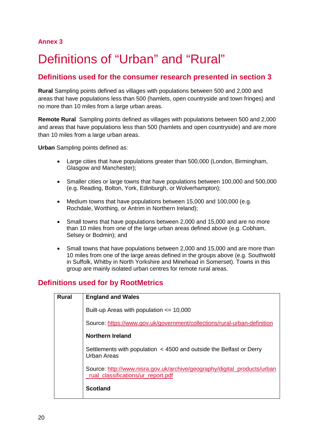### **Annex 3**

# <span id="page-22-0"></span>Definitions of "Urban" and "Rural"

## **Definitions used for the consumer research presented in section 3**

**Rural** Sampling points defined as villages with populations between 500 and 2,000 and areas that have populations less than 500 (hamlets, open countryside and town fringes) and no more than 10 miles from a large urban areas.

**Remote Rural** Sampling points defined as villages with populations between 500 and 2,000 and areas that have populations less than 500 (hamlets and open countryside) and are more than 10 miles from a large urban areas.

**Urban** Sampling points defined as:

- Large cities that have populations greater than 500,000 (London, Birmingham, Glasgow and Manchester);
- Smaller cities or large towns that have populations between 100,000 and 500,000 (e.g. Reading, Bolton, York, Edinburgh, or Wolverhampton);
- Medium towns that have populations between 15,000 and 100,000 (e.g. Rochdale, Worthing, or Antrim in Northern Ireland);
- Small towns that have populations between 2,000 and 15,000 and are no more than 10 miles from one of the large urban areas defined above (e.g. Cobham, Selsey or Bodmin); and
- Small towns that have populations between 2,000 and 15,000 and are more than 10 miles from one of the large areas defined in the groups above (e.g. Southwold in Suffolk, Whitby in North Yorkshire and Minehead in Somerset). Towns in this group are mainly isolated urban centres for remote rural areas.

## **Definitions used for by RootMetrics**

| <b>Rural</b> | <b>England and Wales</b>                                                                                       |
|--------------|----------------------------------------------------------------------------------------------------------------|
|              | Built-up Areas with population $\leq$ 10,000                                                                   |
|              | Source: https://www.gov.uk/government/collections/rural-urban-definition                                       |
|              | Northern Ireland                                                                                               |
|              | Settlements with population < 4500 and outside the Belfast or Derry<br>Urban Areas                             |
|              | Source: http://www.nisra.gov.uk/archive/geography/digital_products/urban<br>rual classifications/ur report.pdf |
|              | <b>Scotland</b>                                                                                                |